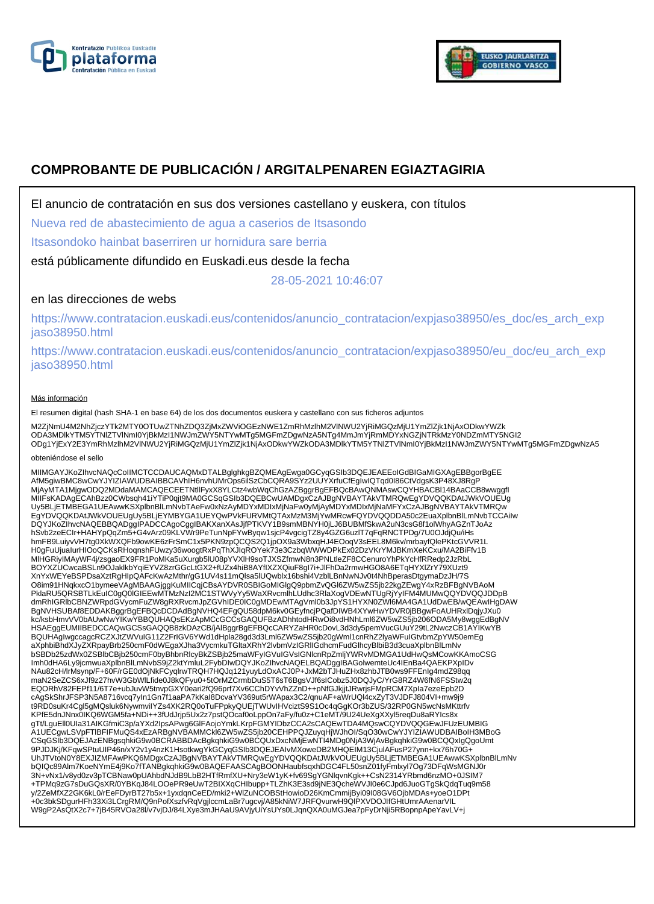



# **COMPROBANTE DE PUBLICACIÓN / ARGITALPENAREN EGIAZTAGIRIA**

El anuncio de contratación en sus dos versiones castellano y euskera, con títulos

Nueva red de abastecimiento de agua a caserios de Itsasondo

Itsasondoko hainbat baserriren ur hornidura sare berria

está públicamente difundido en Euskadi.eus desde la fecha

28-05-2021 10:46:07

## en las direcciones de webs

https://www.contratacion.euskadi.eus/contenidos/anuncio\_contratacion/expjaso38950/es\_doc/es\_arch\_exp jaso38950.html

https://www.contratacion.euskadi.eus/contenidos/anuncio\_contratacion/expjaso38950/eu\_doc/eu\_arch\_exp jaso38950.html

### Más información

El resumen digital (hash SHA-1 en base 64) de los dos documentos euskera y castellano con sus ficheros adjuntos

M2ZjNmU4M2NhZjczYTk2MTY0OTUwZTNhZDQ3ZjMxZWViOGEzNWE1ZmRhMzlhM2VINWU2YjRiMGQzMjU1YmZlZjk1NjAxODkwYWZk<br>ODA3MDlkYTM5YTNIZTVINmI0YjBkMzI1NWJmZWY5NTYwMTg5MGFmZDgwNzA5NTg4MmJmYjRmMDYxNGZjNTRkMzY0NDZmMTY5NGI2<br>ODg1YjExY2E3YmRhMzlh

#### obteniéndose el sello

MIIMGAYJKoZIhvcNAQcCoIIMCTCCDAUCAQMxDTALBglghkgBZQMEAgEwga0GCyqGSIb3DQEJEAEEoIGdBIGaMIGXAgEBBgorBgEE<br>AfM5giwBMC8wCwYJYIZIAWUDBAIBBCAVhIH6nvhUMrOps6ilSzCbCQRA9SYz2UUYXrfuCfEgIwIQTqd0I86CtVdgsK3P48XJ8RgP MjAyMTA1MjgwODQ2MDdaMAMCAQECEETNtllFyxX8YLCtz4wbWqChGzAZBggrBgEFBQcBAwQNMAswCQYHBACBI14BAaCCB8wwggfl<br>MIIFsKADAgECAhBzz0CWbsqh41iYTiP0qjt9MA0GCSqGSIb3DQEBCwUAMDgxCzAJBgNVBAYTAkVTMRQwEgYDVQQKDAtJWkVOUEUg<br>Uy5BLjETMBEGA1UEAwwK EgYDVQQKDAtJWkVOUEUgUy5BLjEYMBYGA1UEYQwPVkFURVMtQTAxMzM3MjYwMRcwFQYDVQQDDA50c2EuaXplbnBlLmNvbTCCAiIw DQYJKoZIhvcNAQEBBQADggIPADCCAgoCggIBAKXanXAsJjfPTKVY1B9smMBNYH0jLJ6BUBMfSkwA2uN3csG8f1olWhyAGZnTJoAz hSvb2zeECIr+HAHYpQqZm5+G4vArz09KLVWr9PeTunNpFYwByqw1sjcP4vgcigTZ8y4GZG6uzlT7qFqRNCTPDg/7U0OJdjQu/iHs hmFB9LuiyvVH7tg0XkWXQFb9owKE6zFrSmC1x5PKN9zpQCQS2Q1jpOX9a3WbxqHJ4EOoqV3sEEL8M6kv/mrbayfQlePKtcGVVR1L<br>H0gFuUjualurHlOoQCKsRHoqnshFUwzy36woogtRxPqThXJIqROYek73e3CzbqWWWDPkEx02DzVKrYMJBKmXeKCxu/MA2BiFfv1B<br>MIHGRiyIMAyWF4j/zsga XnYxWEYeBSPDsaXztRgHIpQAFcKwAzMthr/gG1UV4s11mQlsa5lUQwblx16bshi4VzblLBnNwNJv0t4NhBperasDtgymaDzJH/7S O8im91HNqkxcO1bymeeVAgMBAAGjggKuMIICqjCBsAYDVR0SBIGoMIGlgQ9pbmZvQGl6ZW5wZS5jb22kgZEwgY4xRzBFBgNVBAoM PklaRU5QRSBTLkEuIC0gQ0lGIEEwMTMzNzI2MC1STWVyYy5WaXRvcmlhLUdhc3RlaXogVDEwNTUgRjYyIFM4MUMwQQYDVQQJDDpB dmRhIGRlbCBNZWRpdGVycmFuZW8gRXRvcmJpZGVhIDE0IC0gMDEwMTAgVml0b3JpYS1HYXN0ZWl6MA4GA1UdDwEB/wQEAwIHgDAW BgNVHSUBAf8EDDAKBggrBgEFBQcDCDAdBgNVHQ4EFgQU58dpM6kv0GEyfncjPQafDIWB4XYwHwYDVR0jBBgwFoAUHRxlDqjyJXu0<br>kc/ksbHmvVV0bAUwNwYIKwYBBQUHAQsEKzApMCcGCCsGAQUFBzADhhtodHRwOi8vdHNhLml6ZW5wZS5jb206ODA5My8wggEdBgNV HSAEggEUMIIBEDCCAQwGCSsGAQQB8zkDAzCB/jAlBggrBgEFBQcCARYZaHR0cDovL3d3dy5pemVucGUuY29tL2NwczCB1AYIKwYB BQUHAgIwgccagcRCZXJtZWVuIG11Z2FrIGV6YWd1dHpla28gd3d3Lml6ZW5wZS5jb20gWml1cnRhZ2lyaWFuIGtvbmZpYW50emEg aXphbiBhdXJyZXRpayBrb250cmF0dWEgaXJha3VycmkuTGltaXRhY2lvbmVzIGRlIGdhcmFudGlhcyBlbiB3d3cuaXplbnBlLmNv bSBDb25zdWx0ZSBlbCBjb250cmF0byBhbnRlcyBkZSBjb25maWFyIGVuIGVsIGNlcnRpZmljYWRvMDMGA1UdHwQsMCowKKAmoCSG Imh0dHA6Ly9jcmwuaXplbnBlLmNvbS9jZ2ktYmluL2FybDIwDQYJKoZIhvcNAQELBQADggIBAGolwemteUc4IEnBa4QAEKPXpIDv NAu82cH/lrMsynp/F+60F/rGE0dOjNkFCyqlrwTRQH7HQJq121yuyLdOxACJ0P+JxM2bTJHuZHx8zhbJTB0ws9FFEnIg4mdZ98qq maN2SeZCS6xJf9z27hvW3GbWlLfide0J8kQFyu0+5tOrMZCrmbDuS5T6sT6BgsVJf6sICobz5J0DQJyC/YrG8RZ4W6fN6FSStw2q EQORhV82FEPf11/6T7e+ubJuvW5tnvpGXY0eari2fQ96prf7Xv6CChDYvVhZZnD++pNfGJkjjtJRwrjsFMpRCM7Xpla7ezeEpb2D<br>cAgSkShrJFSP3N5A8716vcq7yIn1Gn7f1aaPA7kKaI8DcvaYV369ut5rWApax3C2/qnuAF+aWrUQl4cxZyT3VJDFJ804VI+mw9j9<br>t9RD0suKr4Cgl5gMQslu KPfE5dnJNnx0IKQ6WGM5fa+NDi++3fUdJrjp5Ux2z7pstQOcaf0oLppOn7aFy/fu0z+C1eMT/9U24UeXgXXyl5reqDu8aRYIcs8x gTt/LguEll0UIa31AIKGfmiC3p/aYXd2IpsAPwg6GlFAojoYmkLKrpFGMYIDbzCCA2sCAQEwTDA4MQswCQYDVQQGEwJFUzEUMBIG A1UECgwLSVpFTlBFIFMuQS4xEzARBgNVBAMMCkl6ZW5wZS5jb20CEHPPQJZuyqHjWJhOI/SqO30wCwYJYIZIAWUDBAIBoIH3MBoG CSqGSIb3DQEJAzENBgsqhkiG9w0BCRABBDAcBgkqhkiG9w0BCQUxDxcNMjEwNTI4MDg0NjA3WjAvBgkqhkiG9w0BCQQxIgQgoUmt 9PJDJKj/KFqwSPtuUIP46n/xY2v1y4nzK1HsotkwgYkGCyqGSIb3DQEJEAIvMXoweDB2MHQEIM13CjulAFusP27ynn+kx76h70G+ UhJTVtoN0Y8EXJIZMFAwPKQ6MDgxCzAJBgNVBAYTAkVTMRQwEgYDVQQKDAtJWkVOUEUgUy5BLjETMBEGA1UEAwwKSXplbnBlLmNv bQIQc89Alm7KoeNYmE4j9Ko7fTANBgkqhkiG9w0BAQEFAASCAgBOONHaubfsqxhDGC4FL50snZ01fyFmlxyl7Og73DFqWsMGNJ0r 3N+vNx1/v8yd0zv3pTCBNaw0pUAhbdNJdB9LbB2HTfRmfXU+Nry3eW1yK+fv69SgYGNlqvnKgk++CsN2314YRbmd6nzMO+0JSIM7 +TPMq9zG7sDuGQsXR/0YBKqJ84LOOePR9eUwT2BIXXqCHIbupp+TLZhK3E3sd9jNE3QcheWVJI0e6CJpd6JuoGTgSkQdqTuq9m58 y/2ZeMfXZ2GK6kL0/rEeFDyrBT27b5x+1yxdqnCeED/mki2+WlZuNCOBStHowioD26KmCmmijByi09I08GV6OjbMDAs+yoeO1DPt +0c3bkSDgurHFh33Xi3LCrgRM/Q9nPofXszfvRqVgjlccmLaBr7ugcvj/A85kNiW7JRFQvurwH9QlPXVDOJIfGHtUmrAAenarVIL W9gP2AsQtX2c7+7jB45RVOa28l/v7vjDJ/84LXye3mJHAaU9AVjyUiYsUYs0LJqnQXA0uMGJea7pFyDrNji5RBopnpApeYavLV+j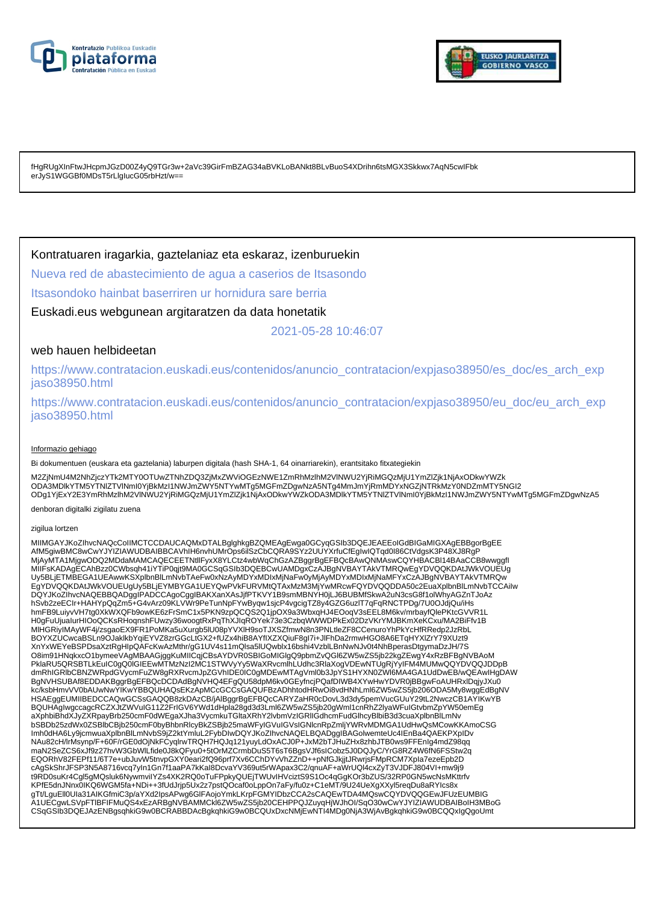



fHgRUgXInFtwJHcpmJGzD00Z4yQ9TGr3w+2aVc39GirFmBZAG34aBVKLoBANkt8BLvBuoS4XDrihn6tsMGX3Skkwx7AqN5cwIFbk erJyS1WGGBf0MDsT5rLlgIucG05rbHzt/w==

### Kontratuaren iragarkia, gaztelaniaz eta eskaraz, izenburuekin

Nueva red de abastecimiento de agua a caserios de Itsasondo

Itsasondoko hainbat baserriren ur hornidura sare berria

Euskadi.eus webgunean argitaratzen da data honetatik

2021-05-28 10:46:07

### web hauen helbideetan

https://www.contratacion.euskadi.eus/contenidos/anuncio\_contratacion/expjaso38950/es\_doc/es\_arch\_exp jaso38950.html

https://www.contratacion.euskadi.eus/contenidos/anuncio\_contratacion/expjaso38950/eu\_doc/eu\_arch\_exp jaso38950.html

#### Informazio gehiago

Bi dokumentuen (euskara eta gaztelania) laburpen digitala (hash SHA-1, 64 oinarriarekin), erantsitako fitxategiekin

M2ZjNmU4M2NhZjczYTk2MTY0OTUwZTNhZDQ3ZjMxZWViOGEzNWE1ZmRhMzlhM2VlNWU2YjRiMGQzMjU1YmZlZjk1NjAxODkwYWZk ODA3MDlkYTM5YTNIZTVINmI0YjBkMzI1NWJmZWY5NTYwMTg5MGFmZDgwNzA5NTg4MmJmYjRmMDYxNGZjNTRkMzY0NDZmMTY5NGI2<br>ODg1YjExY2E3YmRhMzlhM2VlNWU2YjRiMGQzMjU1YmZlZjk1NjAxODkwYWZkODA3MDlkYTM5YTNIZTVlNmI0YjBkMzI1NWJmZWY5NTYwMTg5MGFmZDgwNzA5

denboran digitalki zigilatu zuena

#### zigilua lortzen

MIIMGAYJKoZIhvcNAQcCoIIMCTCCDAUCAQMxDTALBglghkgBZQMEAgEwga0GCyqGSIb3DQEJEAEEoIGdBIGaMIGXAgEBBgorBgEE AfM5giwBMC8wCwYJYIZIAWUDBAIBBCAVhIH6nvhUMrOps6ilSzCbCQRA9SYz2UUYXrfuCfEgIwIQTqd0I86CtVdgsK3P48XJ8RgP MjAyMTA1MjgwODQ2MDdaMAMCAQECEETNtllFyxX8YLCtz4wbWqChGzAZBggrBgEFBQcBAwQNMAswCQYHBACBl14BAaCCB8wwggfI MIIFsKADAgECAhBzz0CWbsqh41iYTiP0qjt9MA0GCSqGSIb3DQEBCwUAMDgxCzAJBgNVBAYTAkVTMRQwEgYDVQQKDAtJWkVOUEUg Uy5BLjETMBEGA1UEAwwKSXplbnBlLmNvbTAeFw0xNzAyMDYxMDIxMjNaFw0yMjAyMDYxMDIxMjNaMFYxCzAJBgNVBAYTAkVTMRQw EgYDVQQKDAtJWkVOUEUgUy5BLjEYMBYGA1UEYQwPVkFURVMtQTAxMzM3MjYwMRcwFQYDVQQDDA50c2EuaXplbnBlLmNvbTCCAiIw<br>DQYJKoZIhvcNAQEBBQADggIPADCCAgoCggIBAKXanXAsJjfPTKVY1B9smMBNYH0jLJ6BUBMfSkwA2uN3csG8f1olWhyAGZnTJoAz hSvb2zeECIr+HAHYpQqZm5+G4vArz09KLVWr9PeTunNpFYwByqw1sjcP4vgcigTZ8y4GZG6uzlT7qFqRNCTPDg/7U0OJdjQu/iHs hmFB9LuiyvVH7tg0XkWXQFb9owKE6zFrSmC1x5PKN9zpQCQS2Q1jpOX9a3WbxqHJ4EOoqV3sEEL8M6kv/mrbayfQlePKtcGVVR1L H0gFuUjuaIurHIOoQCKsRHoqnshFUwzy36woogtRxPqThXJIqROYek73e3CzbqWWWDPkEx02DzVKrYMJBKmXeKCxu/MA2BiFfv1B MlHGRiyIMAyWF4j/zsgaoEX9FR1PoMKa5uXurgb5lU08pYVXlH9soTJXSZfmwN8n3PNLtleZF8CCenuroYhPkYcHfRRedp2JzRbL BOYXZUCwcaBSLn9OJaklkbYqiEYVZ8zrGGcLtGX2+fUZx4hiB8AYfIXZXQiuF8gI7i+JlFhDa2rmwHGO8A6ETqHYXlZrY79XUzt9 XnYxWEYeBSPDsaXztRgHIpQAFcKwAzMthr/gG1UV4s11mQlsa5lUQwblx16bshi4VzblLBnNwNJv0t4NhBperasDtgymaDzJH/7S O8im91HNqkxcO1bymeeVAgMBAAGjggKuMIICqjCBsAYDVR0SBIGoMIGIgQ9pbmZvQGI6ZW5wZS5jb22kgZEwgY4xRzBFBgNVBAoM<br>PklaRU5QRSBTLkEuIC0gQ0IGIEEwMTMzNzI2MC1STWVyYy5WaXRvcmlhLUdhc3RlaXogVDEwNTUgRjYyIFM4MUMwQQYDVQQJDDpB dmRhIGRlbCBNZWRpdGVycmFuZW8gRXRvcmJpZGVhIDE0IC0gMDEwMTAgVml0b3JpYS1HYXN0ZWl6MA4GA1UdDwEB/wQEAwIHgDAW BgNVHSUBAf8EDDAKBggrBgEFBQcDCDAdBgNVHQ4EFgQU58dpM6kv0GEyfncjPQafDIWB4XYwHwYDVR0jBBgwFoAUHRxlDqjyJXu0 kc/ksbHmvVV0bAUwNwYIKwYBBQUHAQsEKzApMCcGCCsGAQUFBzADhhtodHRwOi8vdHNhLml6ZW5wZS5jb206ODA5My8wggEdBgNV HSAEggEUMIIBEDCCAQwGCSsGAQQB8zkDAzCB/jAlBggrBgEFBQcCARYZaHR0cDovL3d3dy5pemVucGUuY29tL2NwczCB1AYIKwYB BQUHAgIwgccagcRCZXJtZWVuIG11Z2FrIGV6YWd1dHpla28gd3d3Lml6ZW5wZS5jb20gWml1cnRhZ2lyaWFuIGtvbmZpYW50emEg aXphbiBhdXJyZXRpayBrb250cmF0dWEgaXJha3VycmkuTGltaXRhY2lvbmVzIGRlIGdhcmFudGlhcyBlbiB3d3cuaXplbnBlLmNv bSBDb25zdWx0ZSBlbCBjb250cmF0byBhbnRlcyBkZSBjb25maWFyIGVuIGVsIGNlcnRpZmljYWRvMDMGA1UdHwQsMCowKKAmoCSG Imh0dHA6Ly9jcmwuaXplbnBlLmNvbS9jZ2ktYmluL2FybDIwDQYJKoZIhvcNAQELBQADggIBAGolwemteUc4IEnBa4QAEKPXpIDv NAu82cH/lrMsynp/F+60F/rGE0dOjNkFCyqlrwTRQH7HQJq121yuyLdOxACJ0P+JxM2bTJHuZHx8zhbJTB0ws9FFEnIg4mdZ98qq maN2SeZCS6xJf9z27hvW3GbWlLfide0J8kQFyu0+5tOrMZCrmbDuS5T6sT6BgsVJf6sICobz5J0DQJyC/YrG8RZ4W6fN6FSStw2q EQORhV82FEPf11/6T7e+ubJuvW5tnvpGXY0eari2fQ96prf7Xv6CChDYvVhZZnD++pNfGJkjjtJRwrjsFMpRCM7XpIa7ezeEpb2D cAgSkShrJFSP3N5A8716vcq7yIn1Gn7f1aaPA7kKaI8DcvaYV369ut5rWApax3C2/qnuAF+aWrUQl4cxZyT3VJDFJ804VI+mw9j9 t9RD0suKr4Cgl5gMQsluk6NywmviIYZs4XK2RQ0oTuFPpkyQUEjTWUvIHVciztS9S1Oc4qGgKOr3bZUS/32RP0GN5wcNsMKttrfv KPfE5dnJNnx0IKQ6WGM5fa+NDi++3fUdJrjp5Ux2z7pstQOcaf0oLppOn7aFy/fu0z+C1eMT/9U24UeXgXXyl5reqDu8aRYIcs8x gTt/LguEll0Ula31AIKGfmiC3p/aYXd2lpsAPwg6GlFAojoYmkLKrpFGMYIDbzCCA2sCAQEwTDA4MQswCQYDVQQGEwJFUzEUMBIG<br>A1UECgwLSVpFTIBFIFMuQS4xEzARBgNVBAMMCkl6ZW5wZS5jb20CEHPPQJZuyqHjWJhOI/SqO30wCwYJYIZIAWUDBAIBoIH3MBoG CSqGSIb3DQEJAzENBgsqhkiG9w0BCRABBDAcBgkqhkiG9w0BCQUxDxcNMjEwNTI4MDg0NjA3WjAvBgkqhkiG9w0BCQQxIgQgoUmt